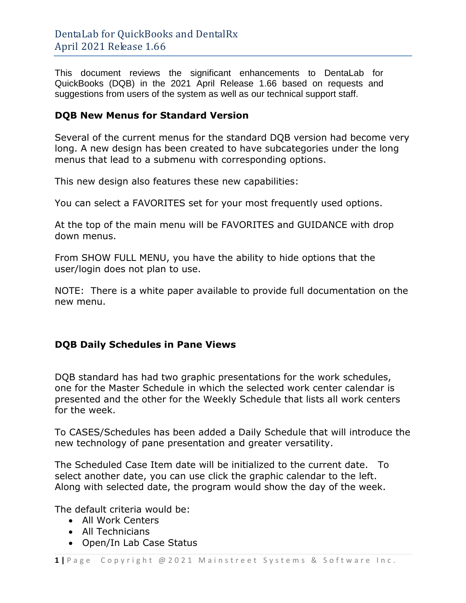This document reviews the significant enhancements to DentaLab for QuickBooks (DQB) in the 2021 April Release 1.66 based on requests and suggestions from users of the system as well as our technical support staff.

## **DQB New Menus for Standard Version**

Several of the current menus for the standard DQB version had become very long. A new design has been created to have subcategories under the long menus that lead to a submenu with corresponding options.

This new design also features these new capabilities:

You can select a FAVORITES set for your most frequently used options.

At the top of the main menu will be FAVORITES and GUIDANCE with drop down menus.

From SHOW FULL MENU, you have the ability to hide options that the user/login does not plan to use.

NOTE: There is a white paper available to provide full documentation on the new menu.

## **DQB Daily Schedules in Pane Views**

DQB standard has had two graphic presentations for the work schedules, one for the Master Schedule in which the selected work center calendar is presented and the other for the Weekly Schedule that lists all work centers for the week.

To CASES/Schedules has been added a Daily Schedule that will introduce the new technology of pane presentation and greater versatility.

The Scheduled Case Item date will be initialized to the current date. To select another date, you can use click the graphic calendar to the left. Along with selected date, the program would show the day of the week.

The default criteria would be:

- All Work Centers
- All Technicians
- Open/In Lab Case Status